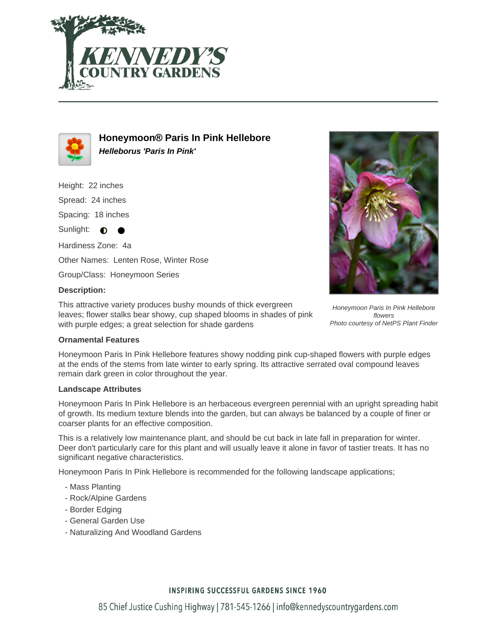



**Honeymoon® Paris In Pink Hellebore Helleborus 'Paris In Pink'**

Height: 22 inches

Spread: 24 inches

Spacing: 18 inches

Sunlight:  $\bullet$  $\bullet$ 

Hardiness Zone: 4a Other Names: Lenten Rose, Winter Rose

Group/Class: Honeymoon Series

# **Description:**

This attractive variety produces bushy mounds of thick evergreen leaves; flower stalks bear showy, cup shaped blooms in shades of pink with purple edges; a great selection for shade gardens



Honeymoon Paris In Pink Hellebore flowers Photo courtesy of NetPS Plant Finder

### **Ornamental Features**

Honeymoon Paris In Pink Hellebore features showy nodding pink cup-shaped flowers with purple edges at the ends of the stems from late winter to early spring. Its attractive serrated oval compound leaves remain dark green in color throughout the year.

### **Landscape Attributes**

Honeymoon Paris In Pink Hellebore is an herbaceous evergreen perennial with an upright spreading habit of growth. Its medium texture blends into the garden, but can always be balanced by a couple of finer or coarser plants for an effective composition.

This is a relatively low maintenance plant, and should be cut back in late fall in preparation for winter. Deer don't particularly care for this plant and will usually leave it alone in favor of tastier treats. It has no significant negative characteristics.

Honeymoon Paris In Pink Hellebore is recommended for the following landscape applications;

- Mass Planting
- Rock/Alpine Gardens
- Border Edging
- General Garden Use
- Naturalizing And Woodland Gardens

# **INSPIRING SUCCESSFUL GARDENS SINCE 1960**